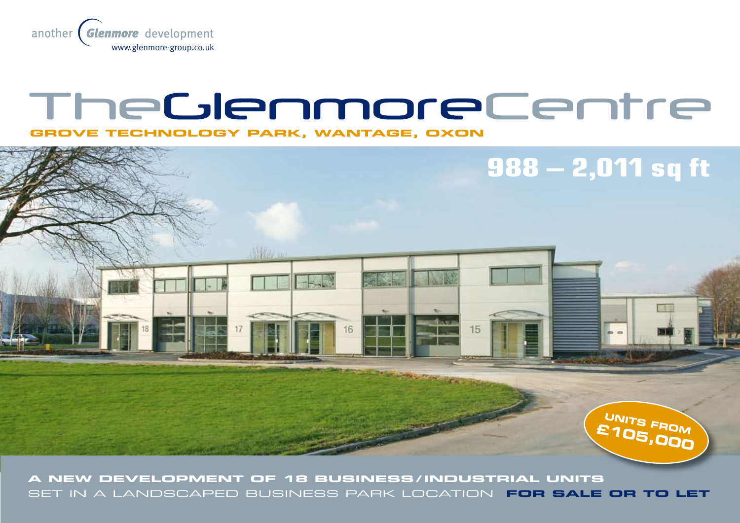

# TheGlenmoreCentre

**GROVE TECHNOLOGY PARK, WANTAGE, OXON**



**A New development of 18 business / industrial units** set in a landscaped business park location **FOR SALE OR TO LET**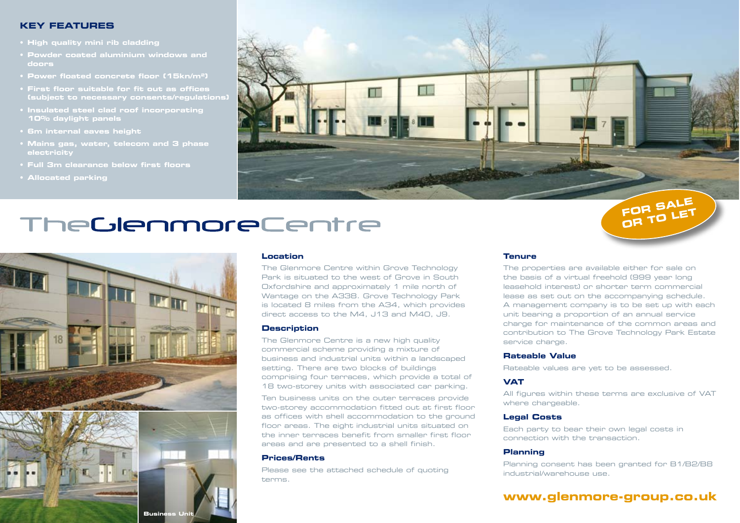#### **Key Features**

- **• High quality mini rib cladding**
- **• Powder coated aluminium windows and doors**
- **• Power floated concrete floor (15kn/m2)**
- **• First floor suitable for fit out as offices (subject to necessary consents/regulations)**
- **• Insulated steel clad roof incorporating 10% daylight panels**
- **• 6m internal eaves height**
- **• Mains gas, water, telecom and 3 phase electricity**
- 
- **• Allocated parking**



# TheGlenmoreCentre



#### **Location**

The Glenmore Centre within Grove Technology Park is situated to the west of Grove in South Oxfordshire and approximately 1 mile north of Wantage on the A338. Grove Technology Park is located 8 miles from the A34, which provides direct access to the M4, J13 and M40, J9.

#### **Description**

The Glenmore Centre is a new high quality commercial scheme providing a mixture of business and industrial units within a landscaped setting. There are two blocks of buildings comprising four terraces, which provide a total of 18 two-storey units with associated car parking.

Ten business units on the outer terraces provide two-storey accommodation fitted out at first floor as offices with shell accommodation to the ground floor areas. The eight industrial units situated on the inner terraces benefit from smaller first floor areas and are presented to a shell finish.

#### **Prices/Rents**

Please see the attached schedule of quoting terms.

#### **Tenure**

The properties are available either for sale on the basis of a virtual freehold (999 year long leasehold interest) or shorter term commercial lease as set out on the accompanying schedule. A management company is to be set up with each unit bearing a proportion of an annual service charge for maintenance of the common areas and contribution to The Grove Technology Park Estate service charge.

**OR TO LET**

#### **Rateable Value**

Rateable values are yet to be assessed.

#### **VAT**

All figures within these terms are exclusive of VAT where chargeable.

#### **Legal Costs**

Each party to bear their own legal costs in connection with the transaction.

#### **Planning**

Planning consent has been granted for B1/B2/B8 industrial/warehouse use.

## **www.glenmore-group.co.uk**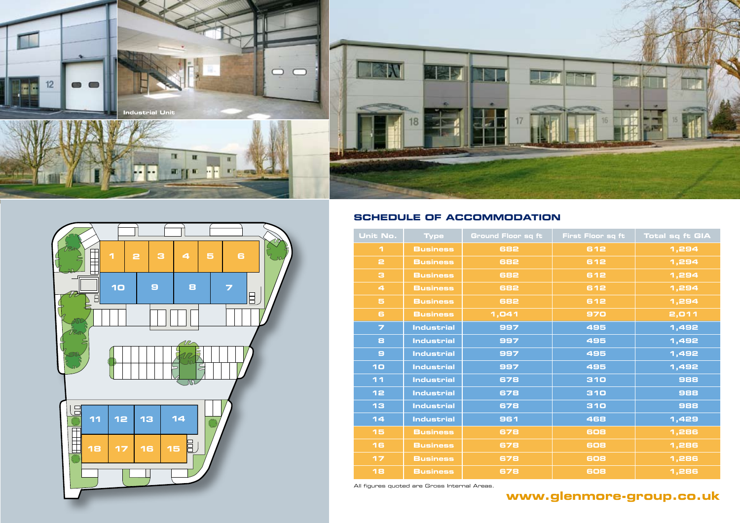



### **Schedule of accommodation**

| Unit No.             | <b>Type</b>       | Ground Floor sq ft | First Floor sq ft | <b>Total sq ft GIA</b> |
|----------------------|-------------------|--------------------|-------------------|------------------------|
| 1                    | <b>Business</b>   | 682                | 612               | 1,294                  |
| $\mathbf{r}$         | <b>Business</b>   | 682                | 612               | 1,294                  |
| з                    | <b>Business</b>   | 682                | 612               | 1,294                  |
| $\blacktriangleleft$ | <b>Business</b>   | 682                | 612               | 1,294                  |
| 5                    | <b>Business</b>   | 682                | 612               | 1,294                  |
| 6                    | <b>Business</b>   | 1,041              | 970               | 2,011                  |
| $\overline{z}$       | <b>Industrial</b> | 997                | 495               | 1,492                  |
| 8                    | <b>Industrial</b> | 997                | 495               | 1,492                  |
| $\mathbf{a}$         | <b>Industrial</b> | 997                | 495               | 1,492                  |
| 10                   | <b>Industrial</b> | 997                | 495               | 1,492                  |
| 11                   | <b>Industrial</b> | 678                | 310               | 988                    |
| 12                   | <b>Industrial</b> | 678                | 310               | 888                    |
| 13                   | <b>Industrial</b> | 678                | 310               | 988                    |
| 14                   | <b>Industrial</b> | 961                | 468               | 1,429                  |
| 15                   | <b>Business</b>   | 678                | 608               | 1,286                  |
| 16                   | <b>Business</b>   | 678                | 608               | 1,286                  |
| 17                   | <b>Business</b>   | 678                | 608               | 1,286                  |
| 18                   | <b>Business</b>   | 678                | 608               | 1,286                  |

All figures quoted are Gross Internal Areas.

# **www.glenmore-group.co.uk**